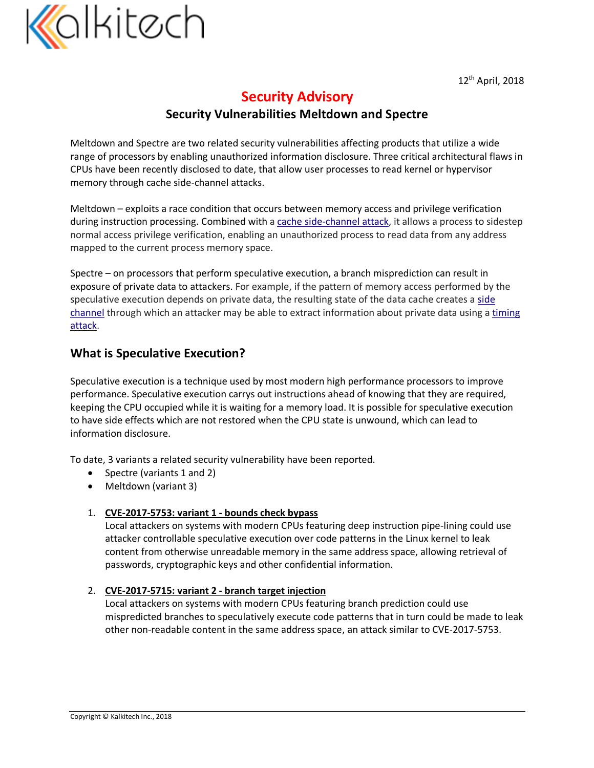

# **Security Advisory**

## **Security Vulnerabilities Meltdown and Spectre**

Meltdown and Spectre are two related security vulnerabilities affecting products that utilize a wide range of processors by enabling unauthorized information disclosure. Three critical architectural flaws in CPUs have been recently disclosed to date, that allow user processes to read kernel or hypervisor memory through cache side-channel attacks.

Meltdown – exploits a race condition that occurs between memory access and privilege verification during instruction processing. Combined with a cache side-channel attack, it allows a process to sidestep normal access privilege verification, enabling an unauthorized process to read data from any address mapped to the current process memory space.

Spectre – on processors that perform speculative execution, a branch misprediction can result in exposure of private data to attackers. For example, if the pattern of memory access performed by the speculative execution depends on private data, the resulting state of the data cache creates a side channel through which an attacker may be able to extract information about private data using a timing attack.

## **What is Speculative Execution?**

Speculative execution is a technique used by most modern high performance processors to improve performance. Speculative execution carrys out instructions ahead of knowing that they are required, keeping the CPU occupied while it is waiting for a memory load. It is possible for speculative execution to have side effects which are not restored when the CPU state is unwound, which can lead to information disclosure.

To date, 3 variants a related security vulnerability have been reported.

- Spectre (variants 1 and 2)
- Meltdown (variant 3)

#### 1. **CVE-2017-5753: variant 1 - bounds check bypass**

Local attackers on systems with modern CPUs featuring deep instruction pipe-lining could use attacker controllable speculative execution over code patterns in the Linux kernel to leak content from otherwise unreadable memory in the same address space, allowing retrieval of passwords, cryptographic keys and other confidential information.

#### 2. **CVE-2017-5715: variant 2 - branch target injection**

Local attackers on systems with modern CPUs featuring branch prediction could use mispredicted branches to speculatively execute code patterns that in turn could be made to leak other non-readable content in the same address space, an attack similar to CVE-2017-5753.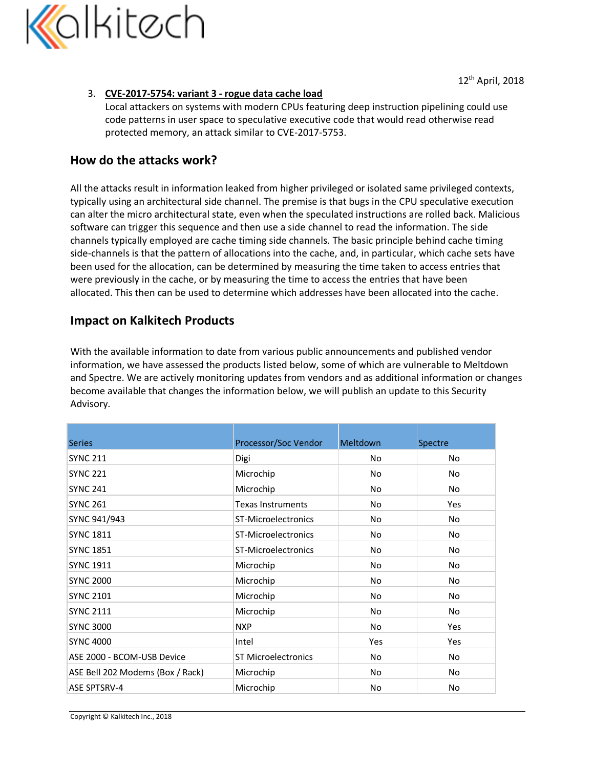

#### 3. **CVE-2017-5754: variant 3 - rogue data cache load**

Local attackers on systems with modern CPUs featuring deep instruction pipelining could use code patterns in user space to speculative executive code that would read otherwise read protected memory, an attack similar to CVE-2017-5753.

### **How do the attacks work?**

All the attacks result in information leaked from higher privileged or isolated same privileged contexts, typically using an architectural side channel. The premise is that bugs in the CPU speculative execution can alter the micro architectural state, even when the speculated instructions are rolled back. Malicious software can trigger this sequence and then use a side channel to read the information. The side channels typically employed are cache timing side channels. The basic principle behind cache timing side-channels is that the pattern of allocations into the cache, and, in particular, which cache sets have been used for the allocation, can be determined by measuring the time taken to access entries that were previously in the cache, or by measuring the time to access the entries that have been allocated. This then can be used to determine which addresses have been allocated into the cache.

## **Impact on Kalkitech Products**

With the available information to date from various public announcements and published vendor information, we have assessed the products listed below, some of which are vulnerable to Meltdown and Spectre. We are actively monitoring updates from vendors and as additional information or changes become available that changes the information below, we will publish an update to this Security Advisory.

| <b>Series</b>                    | Processor/Soc Vendor       | <b>Meltdown</b> | Spectre |
|----------------------------------|----------------------------|-----------------|---------|
| <b>SYNC 211</b>                  | Digi                       | No.             | No.     |
| <b>SYNC 221</b>                  | Microchip                  | No              | No      |
| <b>SYNC 241</b>                  | Microchip                  | No              | No      |
| <b>SYNC 261</b>                  | <b>Texas Instruments</b>   | No              | Yes     |
| SYNC 941/943                     | ST-Microelectronics        | No.             | No.     |
| <b>SYNC 1811</b>                 | ST-Microelectronics        | No.             | No      |
| <b>SYNC 1851</b>                 | ST-Microelectronics        | No.             | No      |
| <b>SYNC 1911</b>                 | Microchip                  | No.             | No.     |
| <b>SYNC 2000</b>                 | Microchip                  | No.             | No.     |
| <b>SYNC 2101</b>                 | Microchip                  | No              | No      |
| <b>SYNC 2111</b>                 | Microchip                  | No              | No.     |
| <b>SYNC 3000</b>                 | <b>NXP</b>                 | No.             | Yes     |
| <b>SYNC 4000</b>                 | Intel                      | Yes             | Yes     |
| ASE 2000 - BCOM-USB Device       | <b>ST Microelectronics</b> | No.             | No      |
| ASE Bell 202 Modems (Box / Rack) | Microchip                  | No.             | No.     |
| <b>ASE SPTSRV-4</b>              | Microchip                  | No              | No      |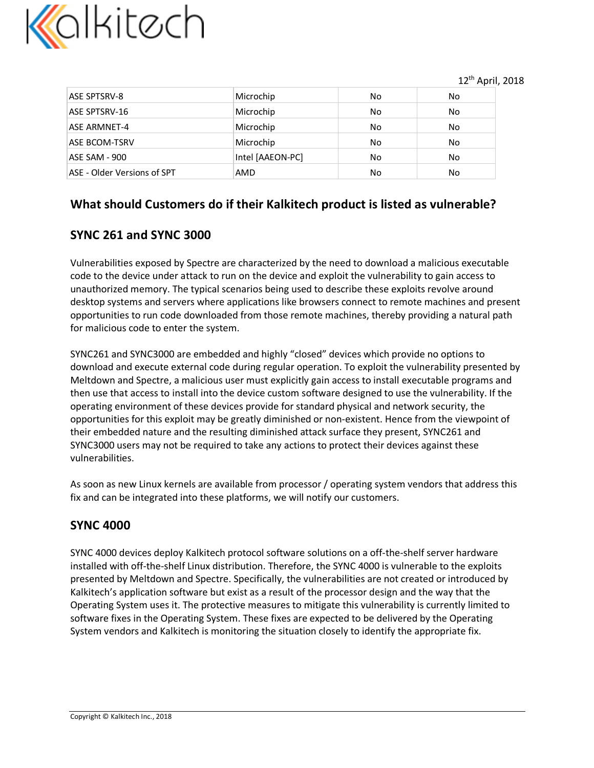

| <b>ASE SPTSRV-8</b>         | Microchip        | No | No. |
|-----------------------------|------------------|----|-----|
| ASE SPTSRV-16               | Microchip        | No | No. |
| ASE ARMNET-4                | Microchip        | No | No. |
| <b>ASE BCOM-TSRV</b>        | Microchip        | No | No. |
| ASE SAM - 900               | Intel [AAEON-PC] | No | No  |
| ASE - Older Versions of SPT | AMD              | No | No  |

## **What should Customers do if their Kalkitech product is listed as vulnerable?**

## **SYNC 261 and SYNC 3000**

Vulnerabilities exposed by Spectre are characterized by the need to download a malicious executable code to the device under attack to run on the device and exploit the vulnerability to gain access to unauthorized memory. The typical scenarios being used to describe these exploits revolve around desktop systems and servers where applications like browsers connect to remote machines and present opportunities to run code downloaded from those remote machines, thereby providing a natural path for malicious code to enter the system.

SYNC261 and SYNC3000 are embedded and highly "closed" devices which provide no options to download and execute external code during regular operation. To exploit the vulnerability presented by Meltdown and Spectre, a malicious user must explicitly gain access to install executable programs and then use that access to install into the device custom software designed to use the vulnerability. If the operating environment of these devices provide for standard physical and network security, the opportunities for this exploit may be greatly diminished or non-existent. Hence from the viewpoint of their embedded nature and the resulting diminished attack surface they present, SYNC261 and SYNC3000 users may not be required to take any actions to protect their devices against these vulnerabilities.

As soon as new Linux kernels are available from processor / operating system vendors that address this fix and can be integrated into these platforms, we will notify our customers.

## **SYNC 4000**

SYNC 4000 devices deploy Kalkitech protocol software solutions on a off-the-shelf server hardware installed with off-the-shelf Linux distribution. Therefore, the SYNC 4000 is vulnerable to the exploits presented by Meltdown and Spectre. Specifically, the vulnerabilities are not created or introduced by Kalkitech's application software but exist as a result of the processor design and the way that the Operating System uses it. The protective measures to mitigate this vulnerability is currently limited to software fixes in the Operating System. These fixes are expected to be delivered by the Operating System vendors and Kalkitech is monitoring the situation closely to identify the appropriate fix.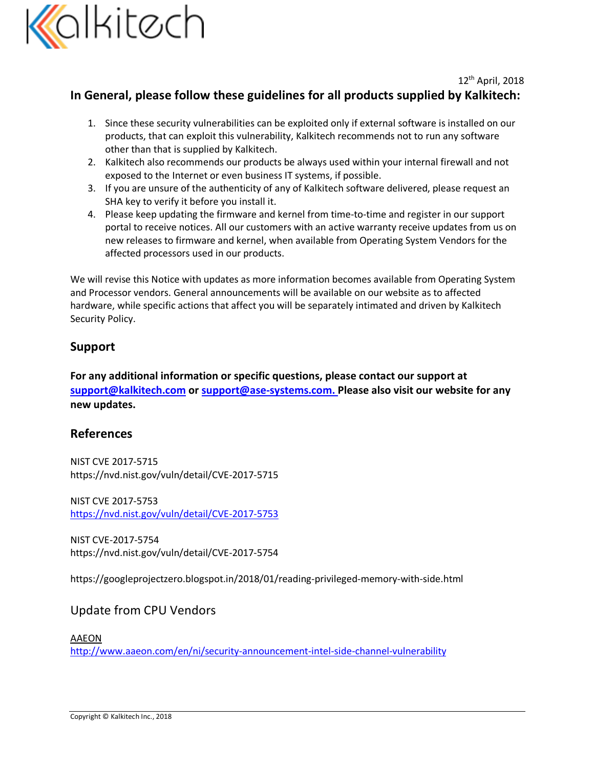

## **In General, please follow these guidelines for all products supplied by Kalkitech:**

- 1. Since these security vulnerabilities can be exploited only if external software is installed on our products, that can exploit this vulnerability, Kalkitech recommends not to run any software other than that is supplied by Kalkitech.
- 2. Kalkitech also recommends our products be always used within your internal firewall and not exposed to the Internet or even business IT systems, if possible.
- 3. If you are unsure of the authenticity of any of Kalkitech software delivered, please request an SHA key to verify it before you install it.
- 4. Please keep updating the firmware and kernel from time-to-time and register in our support portal to receive notices. All our customers with an active warranty receive updates from us on new releases to firmware and kernel, when available from Operating System Vendors for the affected processors used in our products.

We will revise this Notice with updates as more information becomes available from Operating System and Processor vendors. General announcements will be available on our website as to affected hardware, while specific actions that affect you will be separately intimated and driven by Kalkitech Security Policy.

## **Support**

**For any additional information or specific questions, please contact our support at support@kalkitech.com or support@ase-systems.com. Please also visit our website for any new updates.**

## **References**

NIST CVE 2017-5715 https://nvd.nist.gov/vuln/detail/CVE-2017-5715

NIST CVE 2017-5753 https://nvd.nist.gov/vuln/detail/CVE-2017-5753

NIST CVE-2017-5754 https://nvd.nist.gov/vuln/detail/CVE-2017-5754

https://googleprojectzero.blogspot.in/2018/01/reading-privileged-memory-with-side.html

## Update from CPU Vendors

## AAEON http://www.aaeon.com/en/ni/security-announcement-intel-side-channel-vulnerability